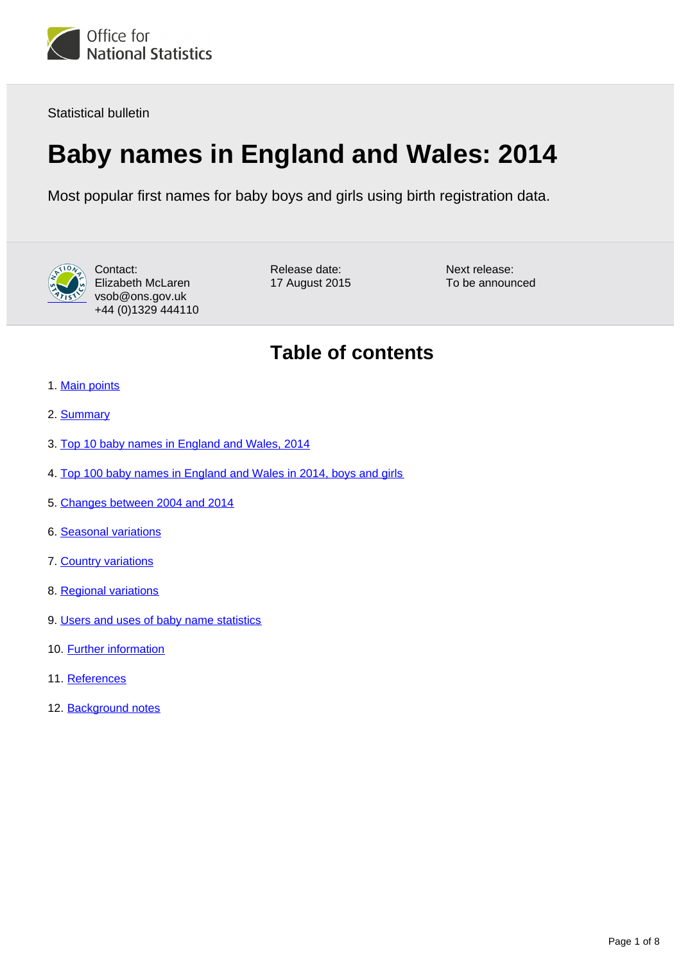

Statistical bulletin

# **Baby names in England and Wales: 2014**

Most popular first names for baby boys and girls using birth registration data.



Contact: Elizabeth McLaren vsob@ons.gov.uk +44 (0)1329 444110 Release date: 17 August 2015 Next release: To be announced

# **Table of contents**

- 1. [Main points](#page-1-0)
- 2. [Summary](#page-1-1)
- 3. [Top 10 baby names in England and Wales, 2014](#page-1-2)
- 4. [Top 100 baby names in England and Wales in 2014, boys and girls](#page-2-0)
- 5. [Changes between 2004 and 2014](#page-3-0)
- 6. [Seasonal variations](#page-3-1)
- 7. [Country variations](#page-4-0)
- 8. [Regional variations](#page-5-0)
- 9. [Users and uses of baby name statistics](#page-5-1)
- 10. **Further information**
- 11. References
- 12. Background notes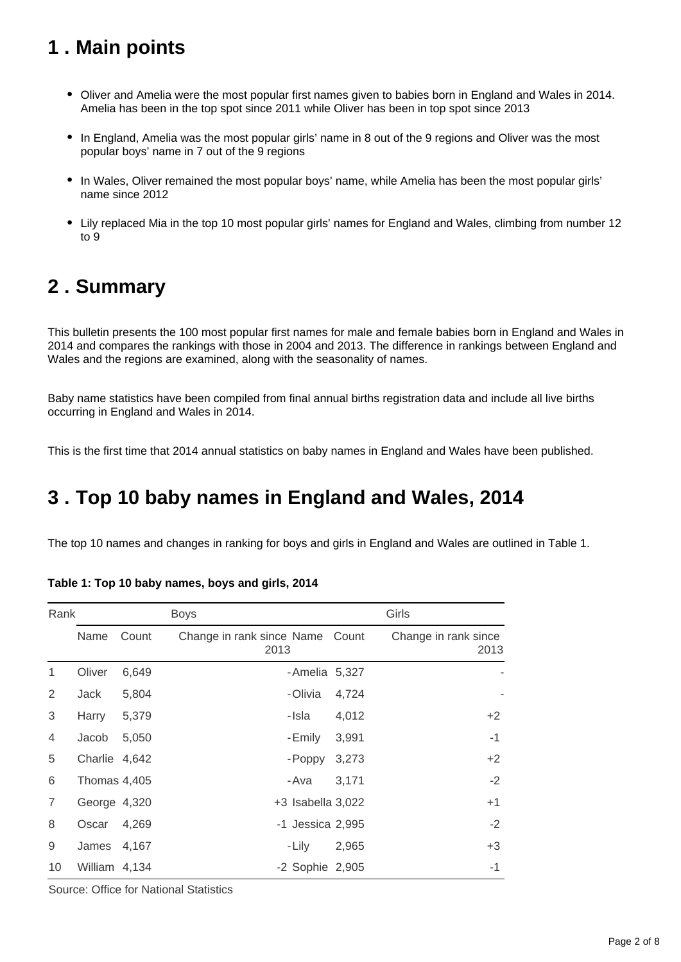# <span id="page-1-0"></span>**1 . Main points**

- Oliver and Amelia were the most popular first names given to babies born in England and Wales in 2014. Amelia has been in the top spot since 2011 while Oliver has been in top spot since 2013
- In England, Amelia was the most popular girls' name in 8 out of the 9 regions and Oliver was the most popular boys' name in 7 out of the 9 regions
- In Wales, Oliver remained the most popular boys' name, while Amelia has been the most popular girls' name since 2012
- Lily replaced Mia in the top 10 most popular girls' names for England and Wales, climbing from number 12 to 9

# <span id="page-1-1"></span>**2 . Summary**

This bulletin presents the 100 most popular first names for male and female babies born in England and Wales in 2014 and compares the rankings with those in 2004 and 2013. The difference in rankings between England and Wales and the regions are examined, along with the seasonality of names.

Baby name statistics have been compiled from final annual births registration data and include all live births occurring in England and Wales in 2014.

This is the first time that 2014 annual statistics on baby names in England and Wales have been published.

# <span id="page-1-2"></span>**3 . Top 10 baby names in England and Wales, 2014**

The top 10 names and changes in ranking for boys and girls in England and Wales are outlined in Table 1.

| Rank           |               |       | <b>Boys</b>                             | Girls |                              |  |
|----------------|---------------|-------|-----------------------------------------|-------|------------------------------|--|
|                | Name          | Count | Change in rank since Name Count<br>2013 |       | Change in rank since<br>2013 |  |
| 1              | Oliver        | 6,649 | -Amelia 5,327                           |       |                              |  |
| 2              | Jack          | 5,804 | -Olivia                                 | 4,724 |                              |  |
| 3              | Harry         | 5,379 | -Isla                                   | 4,012 | $+2$                         |  |
| $\overline{4}$ | Jacob         | 5,050 | -Emily                                  | 3,991 | $-1$                         |  |
| 5              | Charlie 4,642 |       | - Poppy                                 | 3,273 | $+2$                         |  |
| 6              | Thomas 4,405  |       | -Ava                                    | 3,171 | $-2$                         |  |
| 7              | George 4,320  |       | +3 Isabella 3,022                       |       | $+1$                         |  |
| 8              | Oscar         | 4,269 | -1 Jessica 2,995                        |       | $-2$                         |  |
| 9              | James         | 4,167 | - Lily                                  | 2,965 | $+3$                         |  |
| 10             | William 4,134 |       | -2 Sophie 2,905                         |       | $-1$                         |  |

**Table 1: Top 10 baby names, boys and girls, 2014**

Source: Office for National Statistics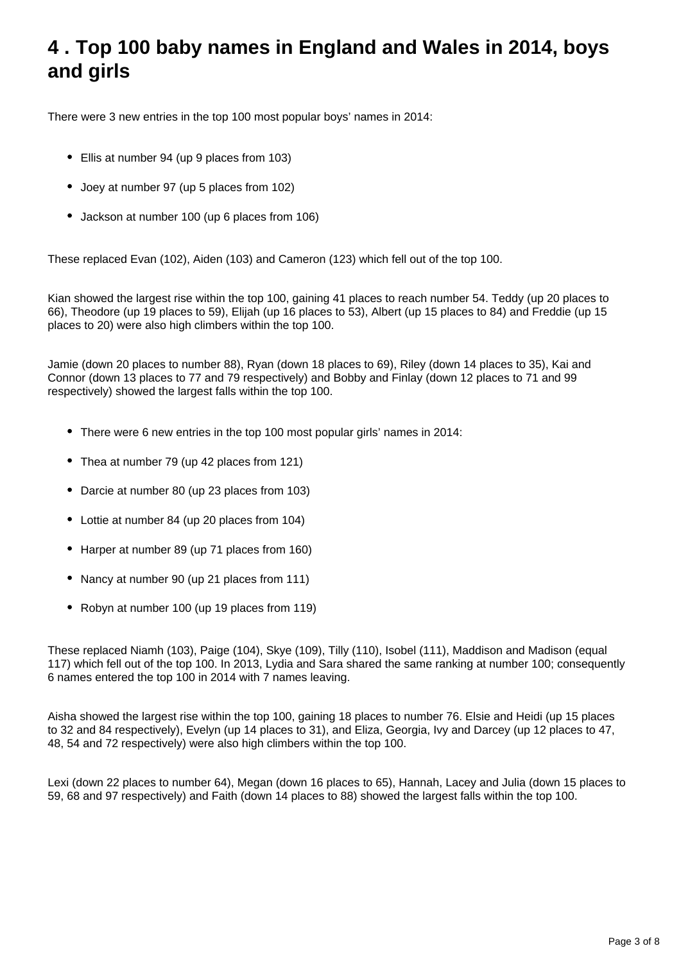# <span id="page-2-0"></span>**4 . Top 100 baby names in England and Wales in 2014, boys and girls**

There were 3 new entries in the top 100 most popular boys' names in 2014:

- Ellis at number 94 (up 9 places from 103)
- Joey at number 97 (up 5 places from 102)
- Jackson at number 100 (up 6 places from 106)

These replaced Evan (102), Aiden (103) and Cameron (123) which fell out of the top 100.

Kian showed the largest rise within the top 100, gaining 41 places to reach number 54. Teddy (up 20 places to 66), Theodore (up 19 places to 59), Elijah (up 16 places to 53), Albert (up 15 places to 84) and Freddie (up 15 places to 20) were also high climbers within the top 100.

Jamie (down 20 places to number 88), Ryan (down 18 places to 69), Riley (down 14 places to 35), Kai and Connor (down 13 places to 77 and 79 respectively) and Bobby and Finlay (down 12 places to 71 and 99 respectively) showed the largest falls within the top 100.

- There were 6 new entries in the top 100 most popular girls' names in 2014:
- Thea at number 79 (up 42 places from 121)
- Darcie at number 80 (up 23 places from 103)
- Lottie at number 84 (up 20 places from 104)
- Harper at number 89 (up 71 places from 160)
- Nancy at number 90 (up 21 places from 111)
- Robyn at number 100 (up 19 places from 119)

These replaced Niamh (103), Paige (104), Skye (109), Tilly (110), Isobel (111), Maddison and Madison (equal 117) which fell out of the top 100. In 2013, Lydia and Sara shared the same ranking at number 100; consequently 6 names entered the top 100 in 2014 with 7 names leaving.

Aisha showed the largest rise within the top 100, gaining 18 places to number 76. Elsie and Heidi (up 15 places to 32 and 84 respectively), Evelyn (up 14 places to 31), and Eliza, Georgia, Ivy and Darcey (up 12 places to 47, 48, 54 and 72 respectively) were also high climbers within the top 100.

Lexi (down 22 places to number 64), Megan (down 16 places to 65), Hannah, Lacey and Julia (down 15 places to 59, 68 and 97 respectively) and Faith (down 14 places to 88) showed the largest falls within the top 100.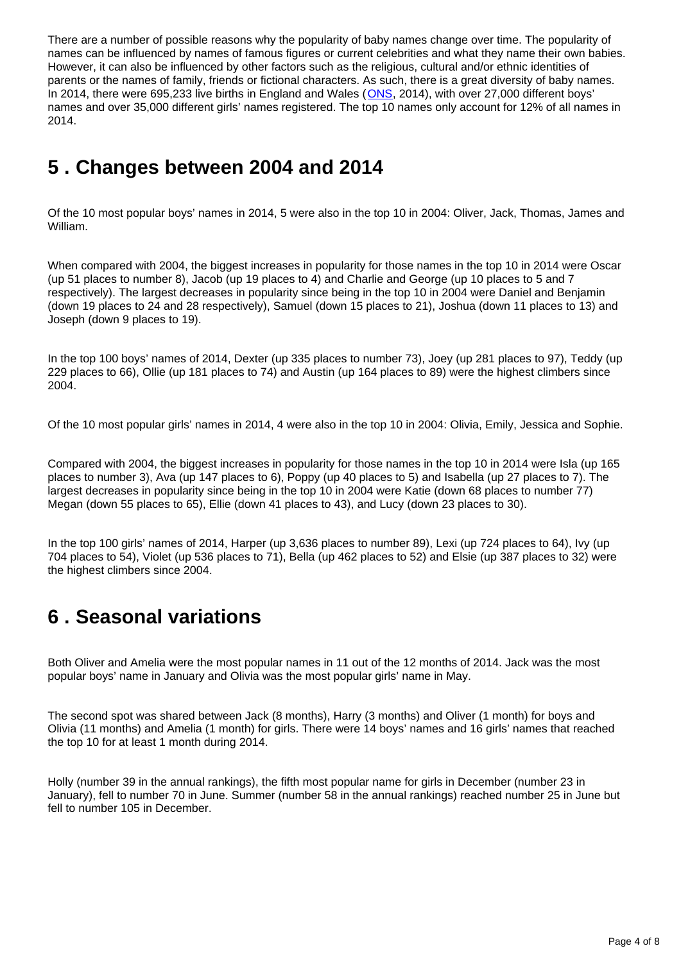There are a number of possible reasons why the popularity of baby names change over time. The popularity of names can be influenced by names of famous figures or current celebrities and what they name their own babies. However, it can also be influenced by other factors such as the religious, cultural and/or ethnic identities of parents or the names of family, friends or fictional characters. As such, there is a great diversity of baby names. In 2014, there were 695,233 live births in England and Wales ([ONS](http://www.ons.gov.uk/ons/rel/vsob1/birth-summary-tables--england-and-wales/2014/index.html), 2014), with over 27,000 different boys' names and over 35,000 different girls' names registered. The top 10 names only account for 12% of all names in 2014.

# <span id="page-3-0"></span>**5 . Changes between 2004 and 2014**

Of the 10 most popular boys' names in 2014, 5 were also in the top 10 in 2004: Oliver, Jack, Thomas, James and William.

When compared with 2004, the biggest increases in popularity for those names in the top 10 in 2014 were Oscar (up 51 places to number 8), Jacob (up 19 places to 4) and Charlie and George (up 10 places to 5 and 7 respectively). The largest decreases in popularity since being in the top 10 in 2004 were Daniel and Benjamin (down 19 places to 24 and 28 respectively), Samuel (down 15 places to 21), Joshua (down 11 places to 13) and Joseph (down 9 places to 19).

In the top 100 boys' names of 2014, Dexter (up 335 places to number 73), Joey (up 281 places to 97), Teddy (up 229 places to 66), Ollie (up 181 places to 74) and Austin (up 164 places to 89) were the highest climbers since 2004.

Of the 10 most popular girls' names in 2014, 4 were also in the top 10 in 2004: Olivia, Emily, Jessica and Sophie.

Compared with 2004, the biggest increases in popularity for those names in the top 10 in 2014 were Isla (up 165 places to number 3), Ava (up 147 places to 6), Poppy (up 40 places to 5) and Isabella (up 27 places to 7). The largest decreases in popularity since being in the top 10 in 2004 were Katie (down 68 places to number 77) Megan (down 55 places to 65), Ellie (down 41 places to 43), and Lucy (down 23 places to 30).

In the top 100 girls' names of 2014, Harper (up 3,636 places to number 89), Lexi (up 724 places to 64), Ivy (up 704 places to 54), Violet (up 536 places to 71), Bella (up 462 places to 52) and Elsie (up 387 places to 32) were the highest climbers since 2004.

# <span id="page-3-1"></span>**6 . Seasonal variations**

Both Oliver and Amelia were the most popular names in 11 out of the 12 months of 2014. Jack was the most popular boys' name in January and Olivia was the most popular girls' name in May.

The second spot was shared between Jack (8 months), Harry (3 months) and Oliver (1 month) for boys and Olivia (11 months) and Amelia (1 month) for girls. There were 14 boys' names and 16 girls' names that reached the top 10 for at least 1 month during 2014.

Holly (number 39 in the annual rankings), the fifth most popular name for girls in December (number 23 in January), fell to number 70 in June. Summer (number 58 in the annual rankings) reached number 25 in June but fell to number 105 in December.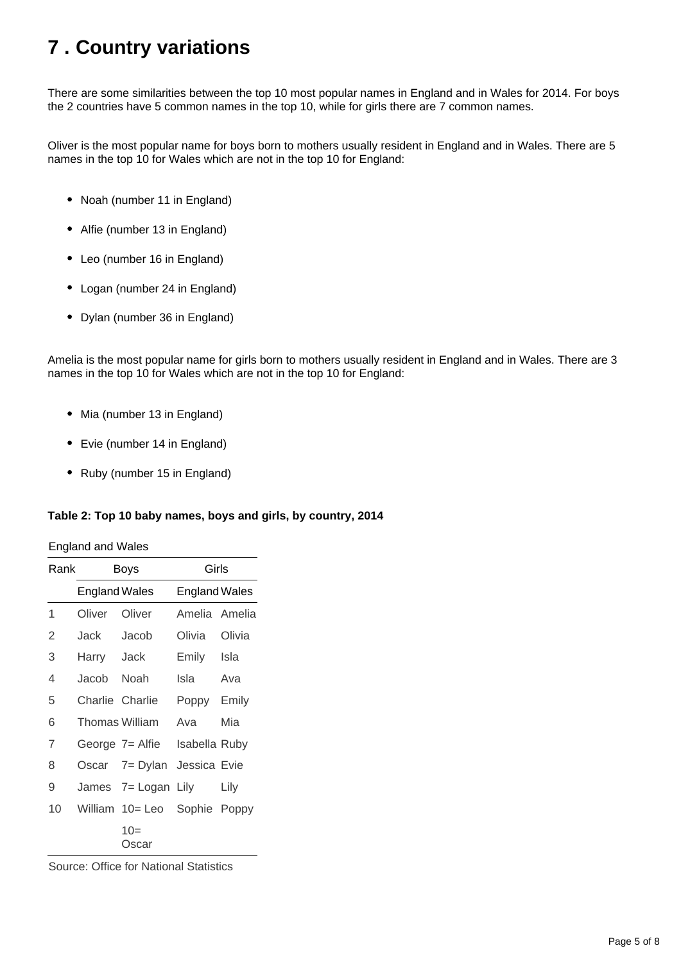# <span id="page-4-0"></span>**7 . Country variations**

There are some similarities between the top 10 most popular names in England and in Wales for 2014. For boys the 2 countries have 5 common names in the top 10, while for girls there are 7 common names.

Oliver is the most popular name for boys born to mothers usually resident in England and in Wales. There are 5 names in the top 10 for Wales which are not in the top 10 for England:

- Noah (number 11 in England)
- Alfie (number 13 in England)
- Leo (number 16 in England)
- Logan (number 24 in England)
- Dylan (number 36 in England)

Amelia is the most popular name for girls born to mothers usually resident in England and in Wales. There are 3 names in the top 10 for Wales which are not in the top 10 for England:

- Mia (number 13 in England)
- Evie (number 14 in England)
- Ruby (number 15 in England)

#### **Table 2: Top 10 baby names, boys and girls, by country, 2014**

| <b>England and Wales</b> |  |  |
|--------------------------|--|--|
|                          |  |  |

| Rank |                       | Boys            | Girls                |        |  |
|------|-----------------------|-----------------|----------------------|--------|--|
|      | <b>England Wales</b>  |                 | <b>England Wales</b> |        |  |
| 1    | Oliver                | Oliver          | Amelia Amelia        |        |  |
| 2    | Jack                  | Jacob           | Olivia               | Olivia |  |
| 3    | Harry Jack            |                 | Emily                | Isla   |  |
| 4    | Jacob                 | Noah            | Isla                 | Ava    |  |
| 5    | Charlie Charlie       |                 | Poppy Emily          |        |  |
| 6    | <b>Thomas William</b> |                 | Ava                  | Mia    |  |
| 7    |                       | George 7= Alfie | Isabella Ruby        |        |  |
| 8    |                       | Oscar 7= Dylan  | Jessica Evie         |        |  |
| 9    |                       | James 7 = Logan | Lily                 | Lily   |  |
| 10   |                       | William 10= Leo | Sophie Poppy         |        |  |
|      |                       | $10=$<br>Oscar  |                      |        |  |

Source: Office for National Statistics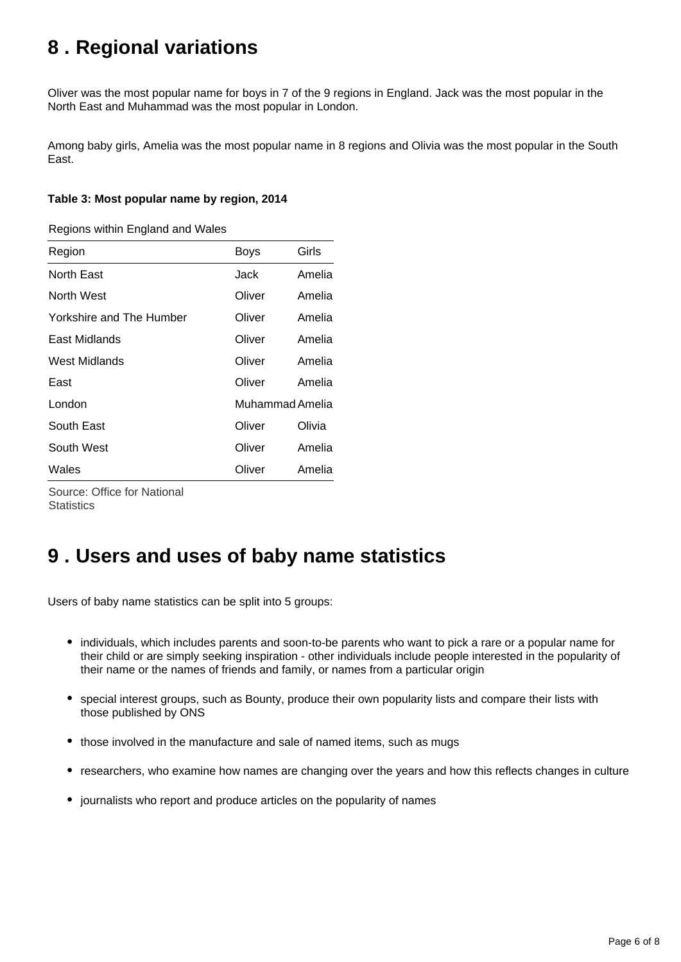# <span id="page-5-0"></span>**8 . Regional variations**

Oliver was the most popular name for boys in 7 of the 9 regions in England. Jack was the most popular in the North East and Muhammad was the most popular in London.

Among baby girls, Amelia was the most popular name in 8 regions and Olivia was the most popular in the South East.

#### **Table 3: Most popular name by region, 2014**

Regions within England and Wales

| Region                   | <b>Boys</b> | Girls           |  |
|--------------------------|-------------|-----------------|--|
| North East               | Jack        | Amelia          |  |
| North West               | Oliver      | Amelia          |  |
| Yorkshire and The Humber | Oliver      | Amelia          |  |
| East Midlands            | Oliver      | Amelia          |  |
| West Midlands            | Oliver      | Amelia          |  |
| East                     | Oliver      | Amelia          |  |
| London                   |             | Muhammad Amelia |  |
| South East               | Oliver      | Olivia          |  |
| South West               | Oliver      | Amelia          |  |
| Wales                    | Oliver      | Amelia          |  |
|                          |             |                 |  |

Source: Office for National **Statistics** 

#### <span id="page-5-1"></span>**9 . Users and uses of baby name statistics**

Users of baby name statistics can be split into 5 groups:

- individuals, which includes parents and soon-to-be parents who want to pick a rare or a popular name for their child or are simply seeking inspiration - other individuals include people interested in the popularity of their name or the names of friends and family, or names from a particular origin
- special interest groups, such as Bounty, produce their own popularity lists and compare their lists with those published by ONS
- those involved in the manufacture and sale of named items, such as mugs
- researchers, who examine how names are changing over the years and how this reflects changes in culture
- journalists who report and produce articles on the popularity of names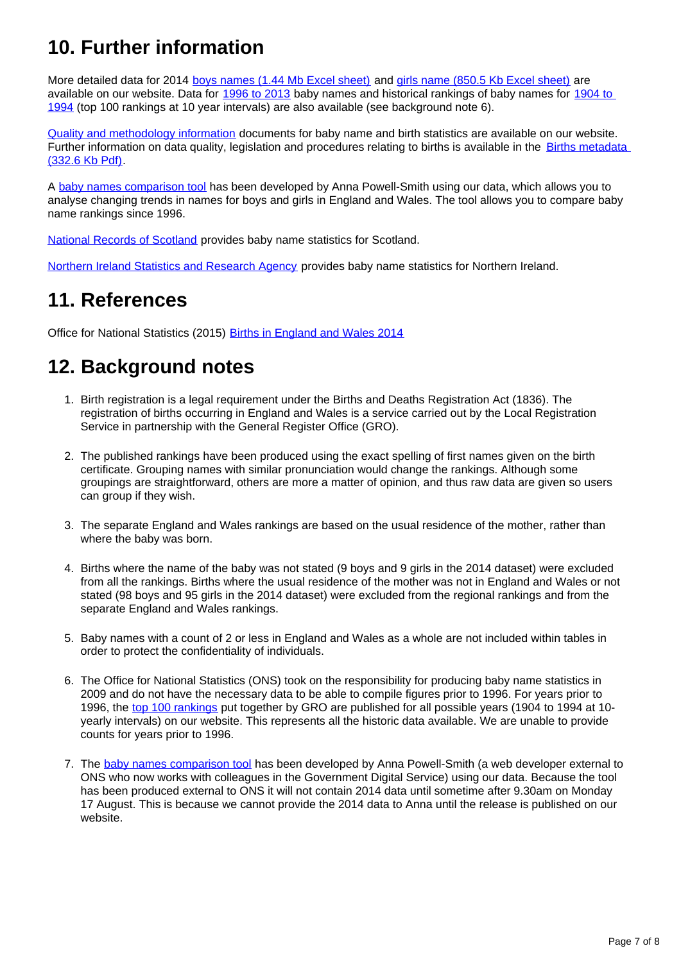# **10. Further information**

More detailed data for 2014 [boys names \(1.44 Mb Excel sheet\)](http://www.ons.gov.uk/ons/rel/vsob1/baby-names--england-and-wales/2014/rft1--2014-baby-names-statistics-boys.xls) and [girls name \(850.5 Kb Excel sheet\)](http://www.ons.gov.uk/ons/rel/vsob1/baby-names--england-and-wales/2014/rft2--2014-baby-names-statistics-girls.xls) are available on our website. Data for [1996 to 2013](http://www.ons.gov.uk/ons/rel/vsob1/baby-names--england-and-wales/index.html) baby names and historical rankings of baby names for 1904 to [1994](http://www.ons.gov.uk/ons/rel/vsob1/baby-names--england-and-wales/1904-1994/index.html) (top 100 rankings at 10 year intervals) are also available (see background note 6).

[Quality and methodology information](http://www.ons.gov.uk/ons/guide-method/method-quality/quality/quality-information/population/index.html) documents for baby name and birth statistics are available on our website. Further information on data quality, legislation and procedures relating to births is available in the [Births metadata](http://www.ons.gov.uk/ons/guide-method/user-guidance/health-and-life-events/births-metadata.pdf)  [\(332.6 Kb Pdf\)](http://www.ons.gov.uk/ons/guide-method/user-guidance/health-and-life-events/births-metadata.pdf).

A [baby names comparison tool](http://names.darkgreener.com/) has been developed by Anna Powell-Smith using our data, which allows you to analyse changing trends in names for boys and girls in England and Wales. The tool allows you to compare baby name rankings since 1996.

[National Records of Scotland](http://www.nrscotland.gov.uk/statistics-and-data/statistics/statistics-by-theme/vital-events/names/babies-first-names/babies-first-names-2014) provides baby name statistics for Scotland.

[Northern Ireland Statistics and Research Agency](http://www.nisra.gov.uk/demography/default.asp28.htm) provides baby name statistics for Northern Ireland.

#### **11. References**

Office for National Statistics (2015) [Births in England and Wales 2014](http://www.ons.gov.uk/ons/rel/vsob1/birth-summary-tables--england-and-wales/2014/index.html)

# **12. Background notes**

- 1. Birth registration is a legal requirement under the Births and Deaths Registration Act (1836). The registration of births occurring in England and Wales is a service carried out by the Local Registration Service in partnership with the General Register Office (GRO).
- 2. The published rankings have been produced using the exact spelling of first names given on the birth certificate. Grouping names with similar pronunciation would change the rankings. Although some groupings are straightforward, others are more a matter of opinion, and thus raw data are given so users can group if they wish.
- 3. The separate England and Wales rankings are based on the usual residence of the mother, rather than where the baby was born.
- 4. Births where the name of the baby was not stated (9 boys and 9 girls in the 2014 dataset) were excluded from all the rankings. Births where the usual residence of the mother was not in England and Wales or not stated (98 boys and 95 girls in the 2014 dataset) were excluded from the regional rankings and from the separate England and Wales rankings.
- 5. Baby names with a count of 2 or less in England and Wales as a whole are not included within tables in order to protect the confidentiality of individuals.
- 6. The Office for National Statistics (ONS) took on the responsibility for producing baby name statistics in 2009 and do not have the necessary data to be able to compile figures prior to 1996. For years prior to 1996, the [top 100 rankings](http://www.ons.gov.uk/ons/rel/vsob1/baby-names--england-and-wales/1904-1994/index.html) put together by GRO are published for all possible years (1904 to 1994 at 10 yearly intervals) on our website. This represents all the historic data available. We are unable to provide counts for years prior to 1996.
- 7. The [baby names comparison tool](http://names.darkgreener.com/) has been developed by Anna Powell-Smith (a web developer external to ONS who now works with colleagues in the Government Digital Service) using our data. Because the tool has been produced external to ONS it will not contain 2014 data until sometime after 9.30am on Monday 17 August. This is because we cannot provide the 2014 data to Anna until the release is published on our website.